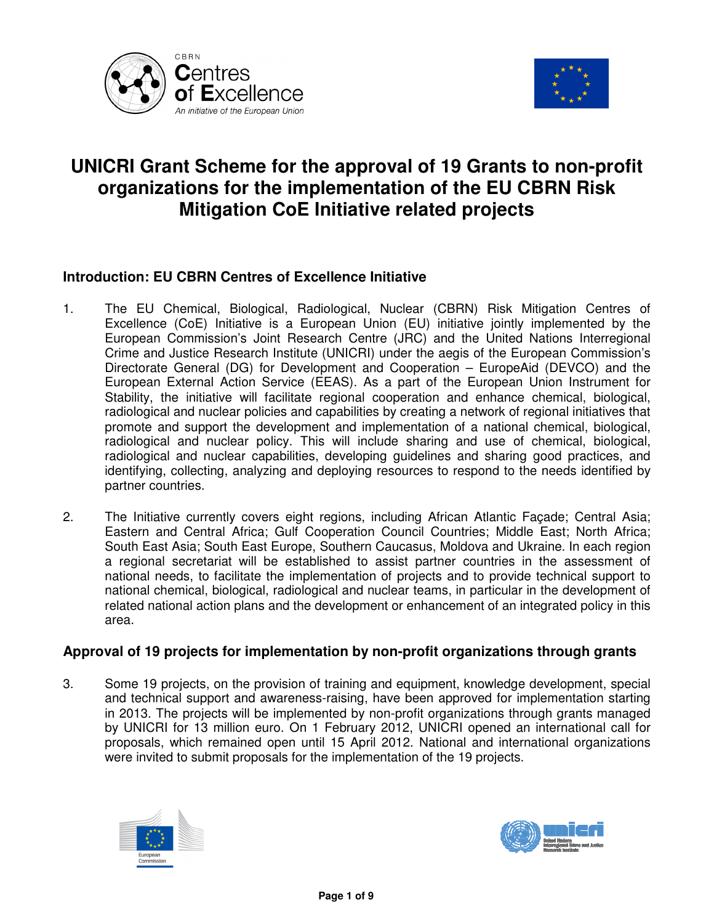



# **UNICRI Grant Scheme for the approval of 19 Grants to non-profit organizations for the implementation of the EU CBRN Risk Mitigation CoE Initiative related projects**

# **Introduction: EU CBRN Centres of Excellence Initiative**

- 1. The EU Chemical, Biological, Radiological, Nuclear (CBRN) Risk Mitigation Centres of Excellence (CoE) Initiative is a European Union (EU) initiative jointly implemented by the European Commission's Joint Research Centre (JRC) and the United Nations Interregional Crime and Justice Research Institute (UNICRI) under the aegis of the European Commission's Directorate General (DG) for Development and Cooperation – EuropeAid (DEVCO) and the European External Action Service (EEAS). As a part of the European Union Instrument for Stability, the initiative will facilitate regional cooperation and enhance chemical, biological, radiological and nuclear policies and capabilities by creating a network of regional initiatives that promote and support the development and implementation of a national chemical, biological, radiological and nuclear policy. This will include sharing and use of chemical, biological, radiological and nuclear capabilities, developing guidelines and sharing good practices, and identifying, collecting, analyzing and deploying resources to respond to the needs identified by partner countries.
- 2. The Initiative currently covers eight regions, including African Atlantic Façade; Central Asia; Eastern and Central Africa; Gulf Cooperation Council Countries; Middle East; North Africa; South East Asia; South East Europe, Southern Caucasus, Moldova and Ukraine. In each region a regional secretariat will be established to assist partner countries in the assessment of national needs, to facilitate the implementation of projects and to provide technical support to national chemical, biological, radiological and nuclear teams, in particular in the development of related national action plans and the development or enhancement of an integrated policy in this area.

## **Approval of 19 projects for implementation by non-profit organizations through grants**

3. Some 19 projects, on the provision of training and equipment, knowledge development, special and technical support and awareness-raising, have been approved for implementation starting in 2013. The projects will be implemented by non-profit organizations through grants managed by UNICRI for 13 million euro. On 1 February 2012, UNICRI opened an international call for proposals, which remained open until 15 April 2012. National and international organizations were invited to submit proposals for the implementation of the 19 projects.



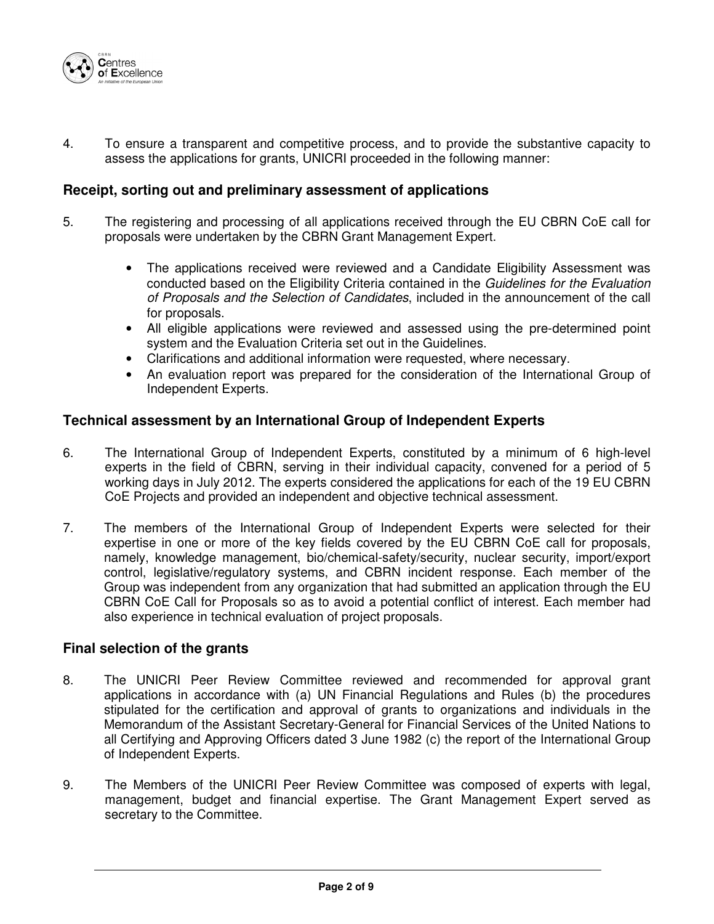

4. To ensure a transparent and competitive process, and to provide the substantive capacity to assess the applications for grants, UNICRI proceeded in the following manner:

#### **Receipt, sorting out and preliminary assessment of applications**

- 5. The registering and processing of all applications received through the EU CBRN CoE call for proposals were undertaken by the CBRN Grant Management Expert.
	- The applications received were reviewed and a Candidate Eligibility Assessment was conducted based on the Eligibility Criteria contained in the Guidelines for the Evaluation of Proposals and the Selection of Candidates, included in the announcement of the call for proposals.
	- All eligible applications were reviewed and assessed using the pre-determined point system and the Evaluation Criteria set out in the Guidelines.
	- Clarifications and additional information were requested, where necessary.
	- An evaluation report was prepared for the consideration of the International Group of Independent Experts.

## **Technical assessment by an International Group of Independent Experts**

- 6. The International Group of Independent Experts, constituted by a minimum of 6 high-level experts in the field of CBRN, serving in their individual capacity, convened for a period of 5 working days in July 2012. The experts considered the applications for each of the 19 EU CBRN CoE Projects and provided an independent and objective technical assessment.
- 7. The members of the International Group of Independent Experts were selected for their expertise in one or more of the key fields covered by the EU CBRN CoE call for proposals, namely, knowledge management, bio/chemical-safety/security, nuclear security, import/export control, legislative/regulatory systems, and CBRN incident response. Each member of the Group was independent from any organization that had submitted an application through the EU CBRN CoE Call for Proposals so as to avoid a potential conflict of interest. Each member had also experience in technical evaluation of project proposals.

### **Final selection of the grants**

- 8. The UNICRI Peer Review Committee reviewed and recommended for approval grant applications in accordance with (a) UN Financial Regulations and Rules (b) the procedures stipulated for the certification and approval of grants to organizations and individuals in the Memorandum of the Assistant Secretary-General for Financial Services of the United Nations to all Certifying and Approving Officers dated 3 June 1982 (c) the report of the International Group of Independent Experts.
- 9. The Members of the UNICRI Peer Review Committee was composed of experts with legal, management, budget and financial expertise. The Grant Management Expert served as secretary to the Committee.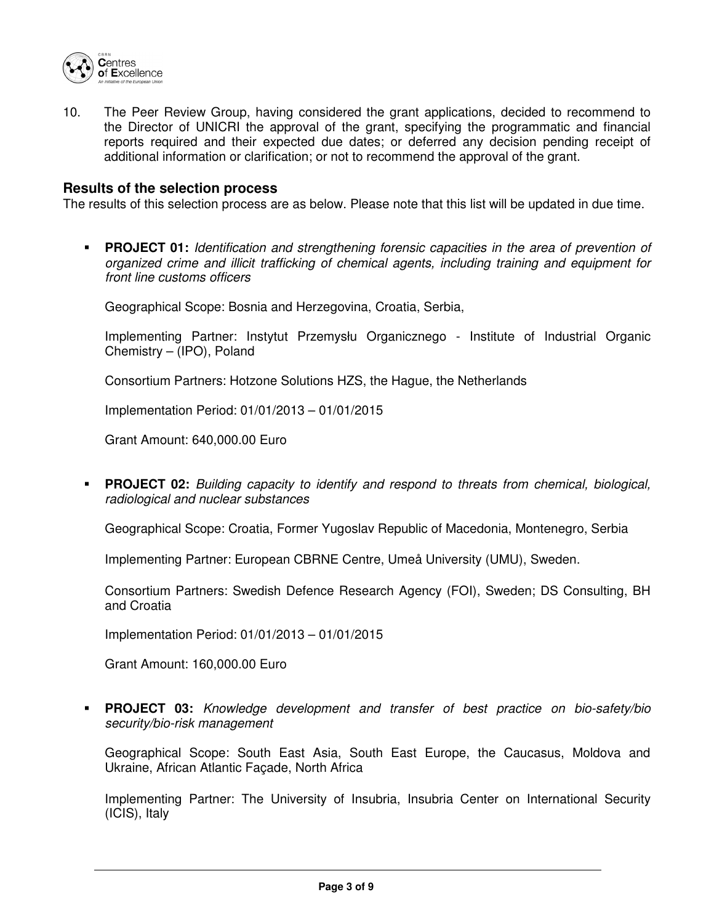

10. The Peer Review Group, having considered the grant applications, decided to recommend to the Director of UNICRI the approval of the grant, specifying the programmatic and financial reports required and their expected due dates; or deferred any decision pending receipt of additional information or clarification; or not to recommend the approval of the grant.

#### **Results of the selection process**

The results of this selection process are as below. Please note that this list will be updated in due time.

**PROJECT 01:** Identification and strengthening forensic capacities in the area of prevention of organized crime and illicit trafficking of chemical agents, including training and equipment for front line customs officers

Geographical Scope: Bosnia and Herzegovina, Croatia, Serbia,

Implementing Partner: Instytut Przemysłu Organicznego - Institute of Industrial Organic Chemistry – (IPO), Poland

Consortium Partners: Hotzone Solutions HZS, the Hague, the Netherlands

Implementation Period: 01/01/2013 – 01/01/2015

Grant Amount: 640,000.00 Euro

**PROJECT 02:** Building capacity to identify and respond to threats from chemical, biological, radiological and nuclear substances

Geographical Scope: Croatia, Former Yugoslav Republic of Macedonia, Montenegro, Serbia

Implementing Partner: European CBRNE Centre, Umeå University (UMU), Sweden.

Consortium Partners: Swedish Defence Research Agency (FOI), Sweden; DS Consulting, BH and Croatia

Implementation Period: 01/01/2013 – 01/01/2015

Grant Amount: 160,000.00 Euro

 **PROJECT 03:** Knowledge development and transfer of best practice on bio-safety/bio security/bio-risk management

Geographical Scope: South East Asia, South East Europe, the Caucasus, Moldova and Ukraine, African Atlantic Façade, North Africa

Implementing Partner: The University of Insubria, Insubria Center on International Security (ICIS), Italy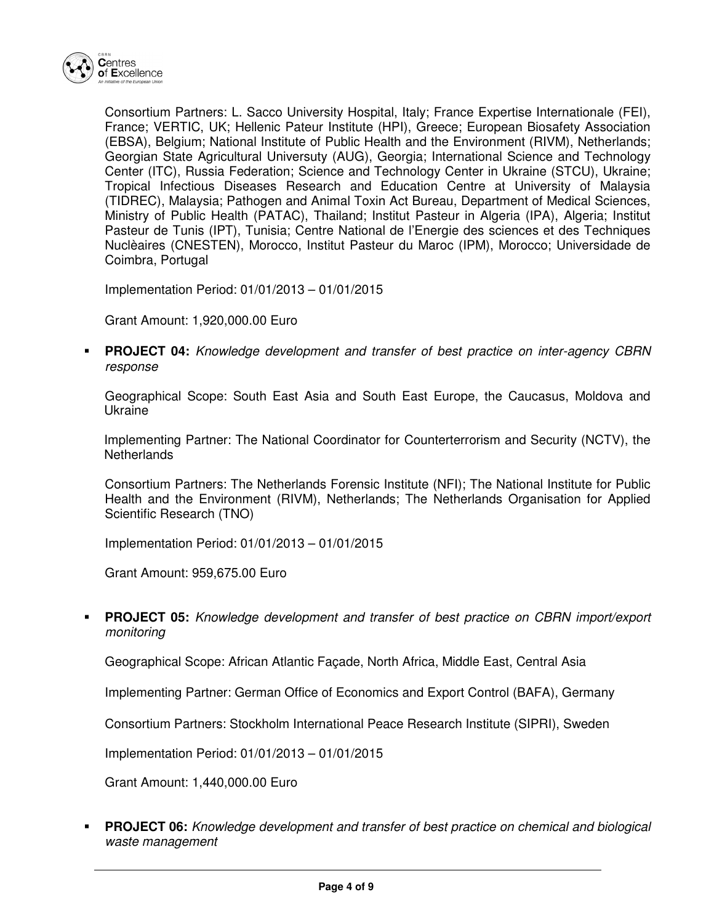

Consortium Partners: L. Sacco University Hospital, Italy; France Expertise Internationale (FEI), France; VERTIC, UK; Hellenic Pateur Institute (HPI), Greece; European Biosafety Association (EBSA), Belgium; National Institute of Public Health and the Environment (RIVM), Netherlands; Georgian State Agricultural Universuty (AUG), Georgia; International Science and Technology Center (ITC), Russia Federation; Science and Technology Center in Ukraine (STCU), Ukraine; Tropical Infectious Diseases Research and Education Centre at University of Malaysia (TIDREC), Malaysia; Pathogen and Animal Toxin Act Bureau, Department of Medical Sciences, Ministry of Public Health (PATAC), Thailand; Institut Pasteur in Algeria (IPA), Algeria; Institut Pasteur de Tunis (IPT), Tunisia; Centre National de l'Energie des sciences et des Techniques Nuclèaires (CNESTEN), Morocco, Institut Pasteur du Maroc (IPM), Morocco; Universidade de Coimbra, Portugal

Implementation Period: 01/01/2013 – 01/01/2015

Grant Amount: 1,920,000.00 Euro

 **PROJECT 04:** Knowledge development and transfer of best practice on inter-agency CBRN response

Geographical Scope: South East Asia and South East Europe, the Caucasus, Moldova and Ukraine

Implementing Partner: The National Coordinator for Counterterrorism and Security (NCTV), the **Netherlands** 

Consortium Partners: The Netherlands Forensic Institute (NFI); The National Institute for Public Health and the Environment (RIVM), Netherlands; The Netherlands Organisation for Applied Scientific Research (TNO)

Implementation Period: 01/01/2013 – 01/01/2015

Grant Amount: 959,675.00 Euro

 **PROJECT 05:** Knowledge development and transfer of best practice on CBRN import/export monitoring

Geographical Scope: African Atlantic Façade, North Africa, Middle East, Central Asia

Implementing Partner: German Office of Economics and Export Control (BAFA), Germany

Consortium Partners: Stockholm International Peace Research Institute (SIPRI), Sweden

Implementation Period: 01/01/2013 – 01/01/2015

Grant Amount: 1,440,000.00 Euro

**PROJECT 06:** Knowledge development and transfer of best practice on chemical and biological waste management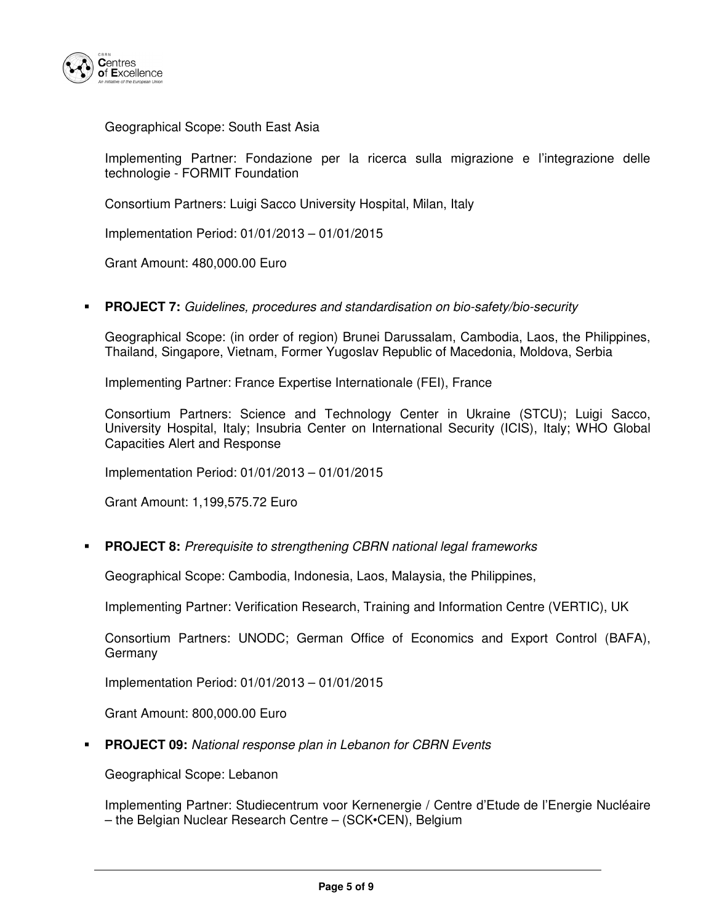

Geographical Scope: South East Asia

Implementing Partner: Fondazione per la ricerca sulla migrazione e l'integrazione delle technologie - FORMIT Foundation

Consortium Partners: Luigi Sacco University Hospital, Milan, Italy

Implementation Period: 01/01/2013 – 01/01/2015

Grant Amount: 480,000.00 Euro

**PROJECT 7:** Guidelines, procedures and standardisation on bio-safety/bio-security

Geographical Scope: (in order of region) Brunei Darussalam, Cambodia, Laos, the Philippines, Thailand, Singapore, Vietnam, Former Yugoslav Republic of Macedonia, Moldova, Serbia

Implementing Partner: France Expertise Internationale (FEI), France

Consortium Partners: Science and Technology Center in Ukraine (STCU); Luigi Sacco, University Hospital, Italy; Insubria Center on International Security (ICIS), Italy; WHO Global Capacities Alert and Response

Implementation Period: 01/01/2013 – 01/01/2015

Grant Amount: 1,199,575.72 Euro

**PROJECT 8:** Prerequisite to strengthening CBRN national legal frameworks

Geographical Scope: Cambodia, Indonesia, Laos, Malaysia, the Philippines,

Implementing Partner: Verification Research, Training and Information Centre (VERTIC), UK

Consortium Partners: UNODC; German Office of Economics and Export Control (BAFA), Germany

Implementation Period: 01/01/2013 – 01/01/2015

Grant Amount: 800,000.00 Euro

**PROJECT 09:** National response plan in Lebanon for CBRN Events

Geographical Scope: Lebanon

Implementing Partner: Studiecentrum voor Kernenergie / Centre d'Etude de l'Energie Nucléaire – the Belgian Nuclear Research Centre – (SCK•CEN), Belgium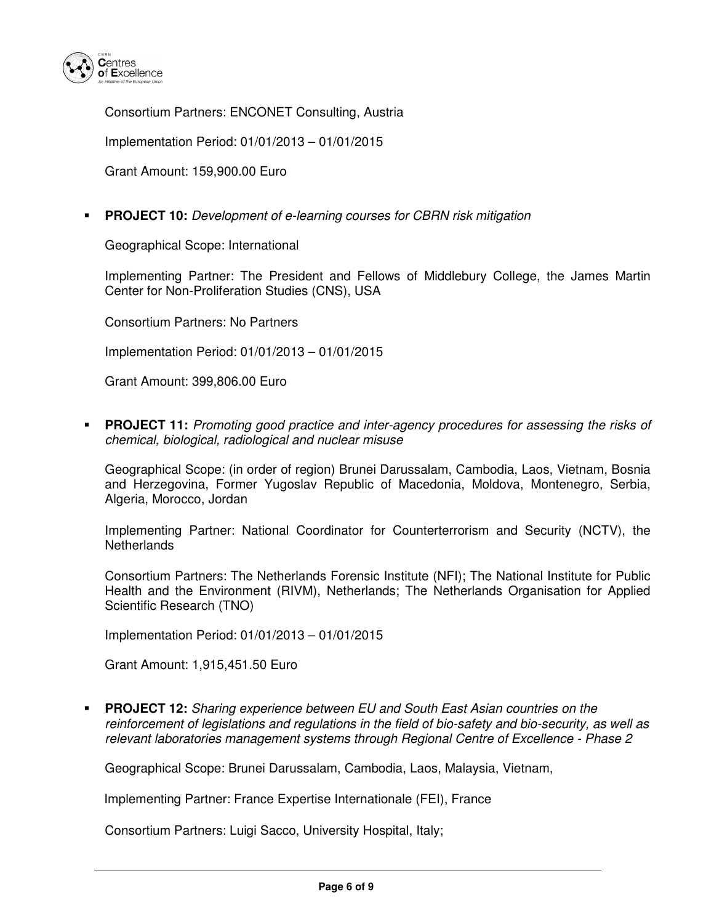

Consortium Partners: ENCONET Consulting, Austria

Implementation Period: 01/01/2013 – 01/01/2015

Grant Amount: 159,900.00 Euro

**PROJECT 10:** Development of e-learning courses for CBRN risk mitigation

Geographical Scope: International

Implementing Partner: The President and Fellows of Middlebury College, the James Martin Center for Non-Proliferation Studies (CNS), USA

Consortium Partners: No Partners

Implementation Period: 01/01/2013 – 01/01/2015

Grant Amount: 399,806.00 Euro

 **PROJECT 11:** Promoting good practice and inter-agency procedures for assessing the risks of chemical, biological, radiological and nuclear misuse

Geographical Scope: (in order of region) Brunei Darussalam, Cambodia, Laos, Vietnam, Bosnia and Herzegovina, Former Yugoslav Republic of Macedonia, Moldova, Montenegro, Serbia, Algeria, Morocco, Jordan

Implementing Partner: National Coordinator for Counterterrorism and Security (NCTV), the **Netherlands** 

Consortium Partners: The Netherlands Forensic Institute (NFI); The National Institute for Public Health and the Environment (RIVM), Netherlands; The Netherlands Organisation for Applied Scientific Research (TNO)

Implementation Period: 01/01/2013 – 01/01/2015

Grant Amount: 1,915,451.50 Euro

 **PROJECT 12:** Sharing experience between EU and South East Asian countries on the reinforcement of legislations and regulations in the field of bio-safety and bio-security, as well as relevant laboratories management systems through Regional Centre of Excellence - Phase 2

Geographical Scope: Brunei Darussalam, Cambodia, Laos, Malaysia, Vietnam,

Implementing Partner: France Expertise Internationale (FEI), France

Consortium Partners: Luigi Sacco, University Hospital, Italy;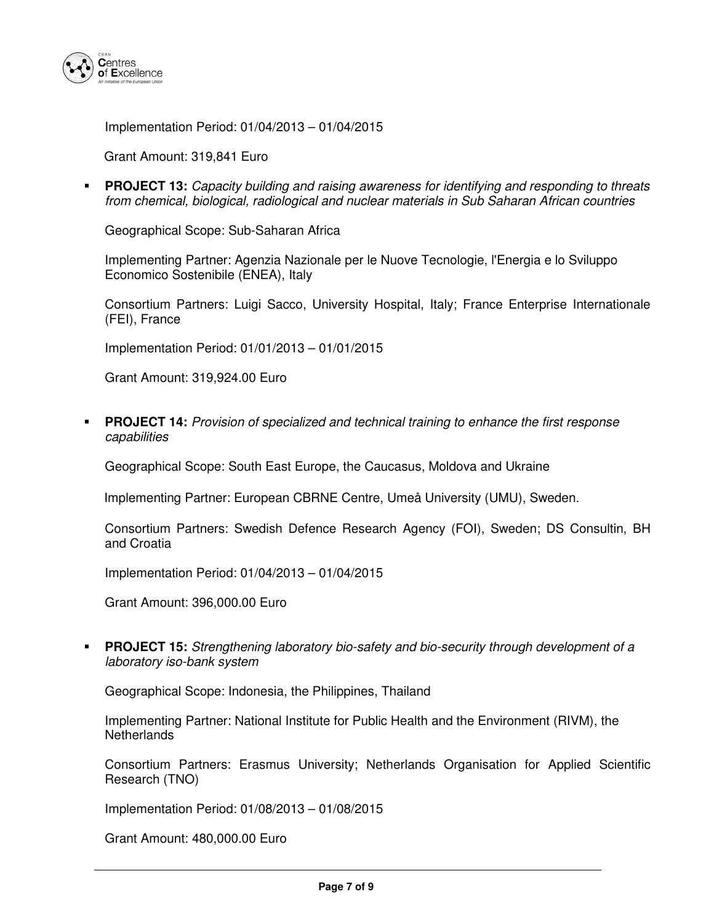

Implementation Period: 01/04/2013 – 01/04/2015

Grant Amount: 319,841 Euro

 **PROJECT 13:** Capacity building and raising awareness for identifying and responding to threats from chemical, biological, radiological and nuclear materials in Sub Saharan African countries

Geographical Scope: Sub-Saharan Africa

Implementing Partner: Agenzia Nazionale per le Nuove Tecnologie, l'Energia e lo Sviluppo Economico Sostenibile (ENEA), Italy

Consortium Partners: Luigi Sacco, University Hospital, Italy; France Enterprise Internationale (FEI), France

Implementation Period: 01/01/2013 – 01/01/2015

Grant Amount: 319,924.00 Euro

 **PROJECT 14:** Provision of specialized and technical training to enhance the first response capabilities

Geographical Scope: South East Europe, the Caucasus, Moldova and Ukraine

Implementing Partner: European CBRNE Centre, Umeå University (UMU), Sweden.

Consortium Partners: Swedish Defence Research Agency (FOI), Sweden; DS Consultin, BH and Croatia

Implementation Period: 01/04/2013 – 01/04/2015

Grant Amount: 396,000.00 Euro

 **PROJECT 15:** Strengthening laboratory bio-safety and bio-security through development of a laboratory iso-bank system

Geographical Scope: Indonesia, the Philippines, Thailand

Implementing Partner: National Institute for Public Health and the Environment (RIVM), the **Netherlands** 

Consortium Partners: Erasmus University; Netherlands Organisation for Applied Scientific Research (TNO)

Implementation Period: 01/08/2013 – 01/08/2015

Grant Amount: 480,000.00 Euro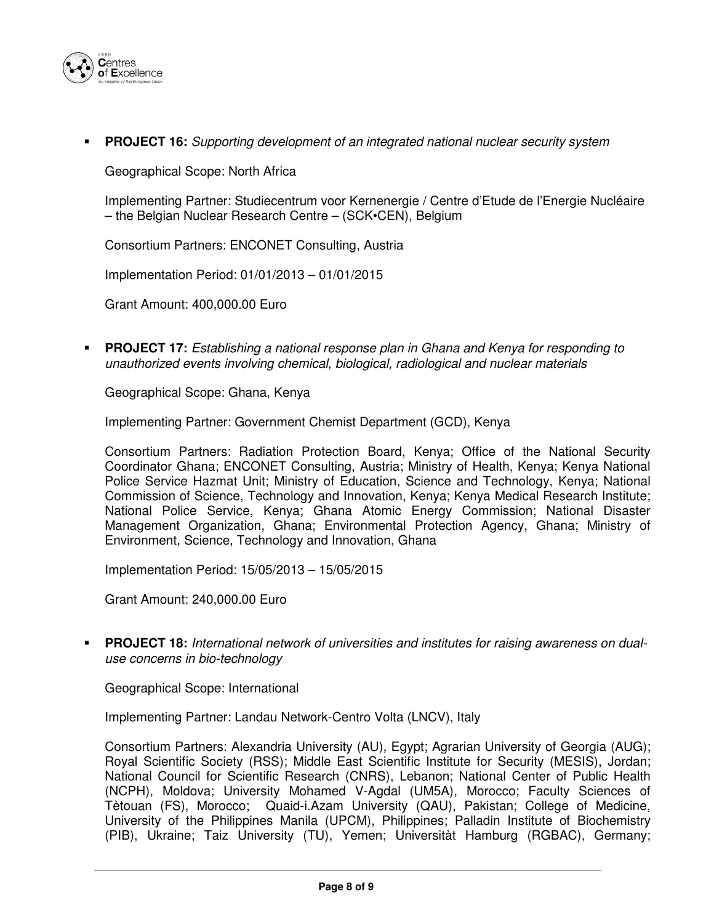

### **PROJECT 16:** Supporting development of an integrated national nuclear security system

Geographical Scope: North Africa

Implementing Partner: Studiecentrum voor Kernenergie / Centre d'Etude de l'Energie Nucléaire – the Belgian Nuclear Research Centre – (SCK•CEN), Belgium

Consortium Partners: ENCONET Consulting, Austria

Implementation Period: 01/01/2013 – 01/01/2015

Grant Amount: 400,000.00 Euro

 **PROJECT 17:** Establishing a national response plan in Ghana and Kenya for responding to unauthorized events involving chemical, biological, radiological and nuclear materials

Geographical Scope: Ghana, Kenya

Implementing Partner: Government Chemist Department (GCD), Kenya

Consortium Partners: Radiation Protection Board, Kenya; Office of the National Security Coordinator Ghana; ENCONET Consulting, Austria; Ministry of Health, Kenya; Kenya National Police Service Hazmat Unit; Ministry of Education, Science and Technology, Kenya; National Commission of Science, Technology and Innovation, Kenya; Kenya Medical Research Institute; National Police Service, Kenya; Ghana Atomic Energy Commission; National Disaster Management Organization, Ghana; Environmental Protection Agency, Ghana; Ministry of Environment, Science, Technology and Innovation, Ghana

Implementation Period: 15/05/2013 – 15/05/2015

Grant Amount: 240,000.00 Euro

 **PROJECT 18:** International network of universities and institutes for raising awareness on dualuse concerns in bio-technology

Geographical Scope: International

Implementing Partner: Landau Network-Centro Volta (LNCV), Italy

Consortium Partners: Alexandria University (AU), Egypt; Agrarian University of Georgia (AUG); Royal Scientific Society (RSS); Middle East Scientific Institute for Security (MESIS), Jordan; National Council for Scientific Research (CNRS), Lebanon; National Center of Public Health (NCPH), Moldova; University Mohamed V-Agdal (UM5A), Morocco; Faculty Sciences of Tètouan (FS), Morocco; Quaid-i.Azam University (QAU), Pakistan; College of Medicine, University of the Philippines Manila (UPCM), Philippines; Palladin Institute of Biochemistry (PIB), Ukraine; Taiz University (TU), Yemen; Universitàt Hamburg (RGBAC), Germany;